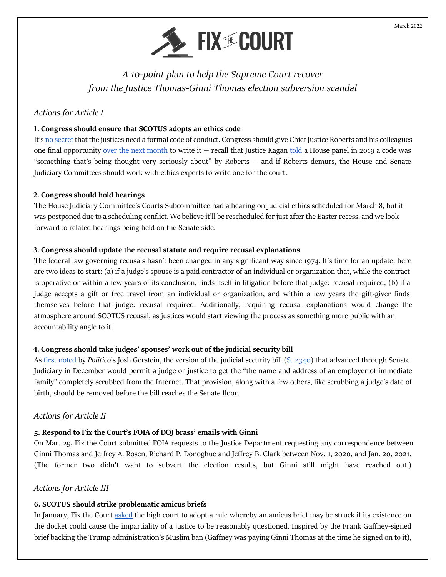

*A 10-point plan to help the Supreme Court recover from the Justice Thomas-Ginni Thomas election subversion scandal*

## *Actions for Article I*

#### **1. Congress should ensure that SCOTUS adopts an ethics code**

It's [no secret](https://fixthecourt.com/wp-content/uploads/2022/02/Scholars-letter-to-CJ-Roberts-2.3.22.pdf) that the justices need a formal code of conduct. Congress should give Chief Justice Roberts and his colleagues one final opportunity [over the next month](https://www.warren.senate.gov/imo/media/doc/2022.3.29%20Letter%20to%20Roberts%20and%20Thomas%20on%20SCOTUS%20Ethics.pdf) to write it  $-$  recall that Justice Kagan [told](https://fixthecourt.com/2019/09/wheres-ethics-code-chief/) a House panel in 2019 a code was "something that's being thought very seriously about" by Roberts — and if Roberts demurs, the House and Senate Judiciary Committees should work with ethics experts to write one for the court.

#### **2. Congress should hold hearings**

The House Judiciary Committee's Courts Subcommittee had a hearing on judicial ethics scheduled for March 8, but it was postponed due to a scheduling conflict. We believe it'll be rescheduled for just after the Easter recess, and we look forward to related hearings being held on the Senate side.

#### **3. Congress should update the recusal statute and require recusal explanations**

The federal law governing recusals hasn't been changed in any significant way since 1974. It's time for an update; here are two ideas to start: (a) if a judge's spouse is a paid contractor of an individual or organization that, while the contract is operative or within a few years of its conclusion, finds itself in litigation before that judge: recusal required; (b) if a judge accepts a gift or free travel from an individual or organization, and within a few years the gift-giver finds themselves before that judge: recusal required. Additionally, requiring recusal explanations would change the atmosphere around SCOTUS recusal, as justices would start viewing the process as something more public with an accountability angle to it.

#### **4. Congress should take judges' spouses' work out of the judicial security bill**

As [first noted](https://twitter.com/joshgerstein/status/1507536022229467136?s=20&t=nqlNUH2XO5VzJiZ4vbV5JQ) by *Politico*'s Josh Gerstein, the version of the judicial security bill [\(S. 2340\)](https://www.congress.gov/bill/117th-congress/senate-bill/2340/text) that advanced through Senate Judiciary in December would permit a judge or justice to get the "the name and address of an employer of immediate family" completely scrubbed from the Internet. That provision, along with a few others, like scrubbing a judge's date of birth, should be removed before the bill reaches the Senate floor.

### *Actions for Article II*

## **5. Respond to Fix the Court's FOIA of DOJ brass' emails with Ginni**

On Mar. 29, Fix the Court submitted FOIA requests to the Justice Department requesting any correspondence between Ginni Thomas and Jeffrey A. Rosen, Richard P. Donoghue and Jeffrey B. Clark between Nov. 1, 2020, and Jan. 20, 2021. (The former two didn't want to subvert the election results, but Ginni still might have reached out.)

### *Actions for Article III*

### **6. SCOTUS should strike problematic amicus briefs**

In January, Fix the Court [asked](https://fixthecourt.com/wp-content/uploads/2022/02/Rule-29a2-letter-1.31.22ff.pdf) the high court to adopt a rule whereby an amicus brief may be struck if its existence on the docket could cause the impartiality of a justice to be reasonably questioned. Inspired by the Frank Gaffney-signed brief backing the Trump administration's Muslim ban (Gaffney was paying Ginni Thomas at the time he signed on to it),